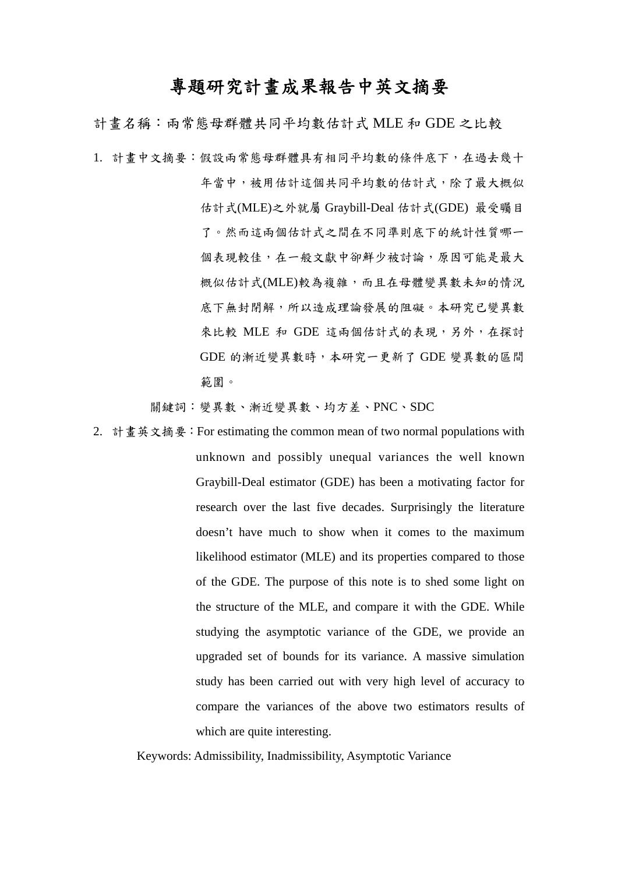# 專題研究計畫成果報告中英文摘要

計畫名稱:兩常態母群體共同平均數估計式 MLE 和 GDE 之比較

1. 計畫中文摘要:假設兩常態母群體具有相同平均數的條件底下,在過去幾十 年當中,被用估計這個共同平均數的估計式,除了最大概似 估計式(MLE)之外就屬 Graybill-Deal 估計式(GDE) 最受矚目 了。然而這兩個估計式之間在不同準則底下的統計性質哪一 個表現較佳,在一般文獻中卻鮮少被討論,原因可能是最大 概似估計式(MLE)較為複雜,而且在母體變異數未知的情況 底下無封閉解,所以造成理論發展的阻礙。本研究已變異數 來比較 MLE 和 GDE 這兩個估計式的表現,另外,在探討 GDE 的漸近變異數時,本研究一更新了 GDE 變異數的區間 範圍。

關鍵詞:變異數、漸近變異數、均方差、PNC、SDC

2. 計畫英文摘要:For estimating the common mean of two normal populations with unknown and possibly unequal variances the well known Graybill-Deal estimator (GDE) has been a motivating factor for research over the last five decades. Surprisingly the literature doesn't have much to show when it comes to the maximum likelihood estimator (MLE) and its properties compared to those of the GDE. The purpose of this note is to shed some light on the structure of the MLE, and compare it with the GDE. While studying the asymptotic variance of the GDE, we provide an upgraded set of bounds for its variance. A massive simulation study has been carried out with very high level of accuracy to compare the variances of the above two estimators results of which are quite interesting.

Keywords: Admissibility, Inadmissibility, Asymptotic Variance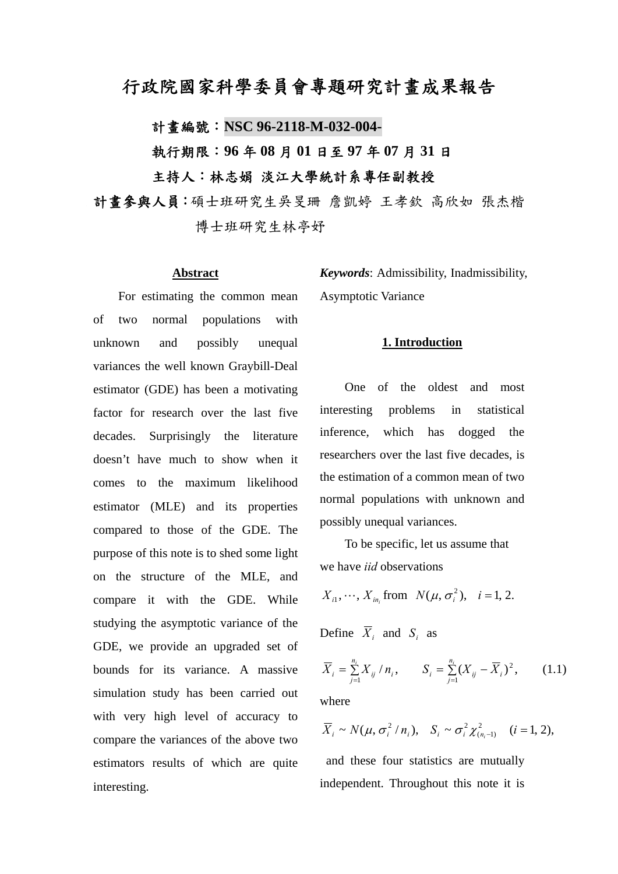# 行政院國家科學委員會專題研究計畫成果報告

計畫編號:**NSC 96-2118-M-032-004-**

執行期限:**96** 年 **08** 月 **01** 日至 **97** 年 **07** 月 **31** 日 主持人:林志娟 淡江大學統計系專任副教授

計畫參與人員:碩士班研究生吳旻珊 詹凱婷 王孝欽 高欣如 張杰楷 博士班研究生林亭妤

#### **Abstract**

For estimating the common mean of two normal populations with unknown and possibly unequal variances the well known Graybill-Deal estimator (GDE) has been a motivating factor for research over the last five decades. Surprisingly the literature doesn't have much to show when it comes to the maximum likelihood estimator (MLE) and its properties compared to those of the GDE. The purpose of this note is to shed some light on the structure of the MLE, and compare it with the GDE. While studying the asymptotic variance of the GDE, we provide an upgraded set of bounds for its variance. A massive simulation study has been carried out with very high level of accuracy to compare the variances of the above two estimators results of which are quite interesting.

*Keywords*: Admissibility, Inadmissibility, Asymptotic Variance

#### **1. Introduction**

 One of the oldest and most interesting problems in statistical inference, which has dogged the researchers over the last five decades, is the estimation of a common mean of two normal populations with unknown and possibly unequal variances.

 To be specific, let us assume that we have *iid* observations

$$
X_{i1}, \cdots, X_{in_i} \text{ from } N(\mu, \sigma_i^2), \quad i = 1, 2.
$$

Define  $\overline{X}_i$  and  $S_i$  as

$$
\overline{X}_{i} = \sum_{j=1}^{n_{i}} X_{ij} / n_{i}, \qquad S_{i} = \sum_{j=1}^{n_{i}} (X_{ij} - \overline{X}_{i})^{2}, \qquad (1.1)
$$

where

$$
\overline{X}_i \sim N(\mu, \sigma_i^2/n_i), \quad S_i \sim \sigma_i^2 \chi_{(n_i-1)}^2 \quad (i=1,2),
$$

 and these four statistics are mutually independent. Throughout this note it is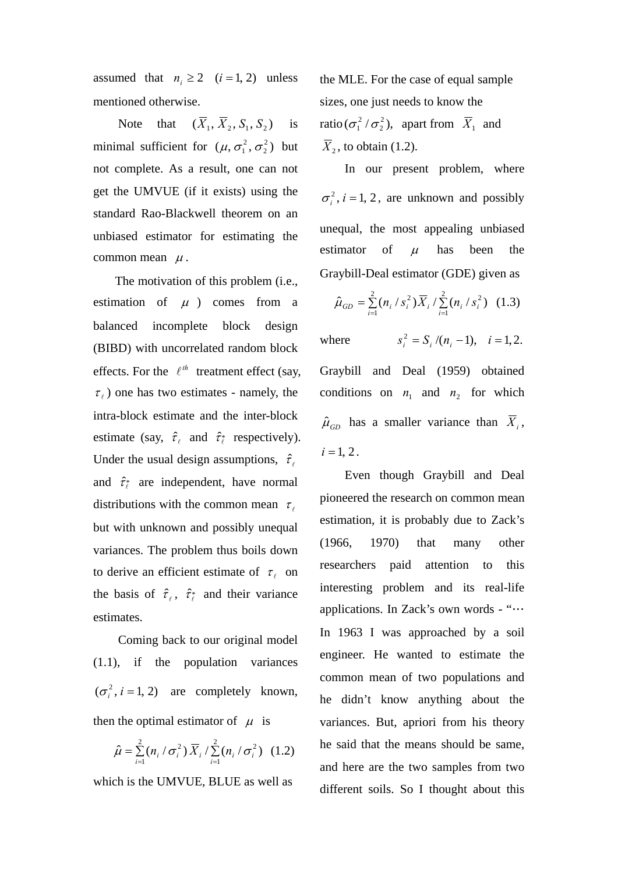assumed that  $n_i \ge 2$   $(i = 1, 2)$  unless mentioned otherwise.

Note that  $(\overline{X}_1, \overline{X}_2, S_1, S_2)$  is minimal sufficient for  $(\mu, \sigma_1^2, \sigma_2^2)$  but not complete. As a result, one can not get the UMVUE (if it exists) using the standard Rao-Blackwell theorem on an unbiased estimator for estimating the common mean  $\mu$ .

 The motivation of this problem (i.e., estimation of  $\mu$  ) comes from a balanced incomplete block design (BIBD) with uncorrelated random block effects. For the  $\ell^{th}$  treatment effect (say,  $\tau_e$ ) one has two estimates - namely, the intra-block estimate and the inter-block estimate (say,  $\hat{\tau}_{\ell}$  and  $\hat{\tau}_{\ell}^*$  respectively). Under the usual design assumptions,  $\hat{\tau}_{\ell}$ and  $\hat{\tau}_{\ell}^{*}$  are independent, have normal distributions with the common mean  $\tau_{\ell}$ but with unknown and possibly unequal variances. The problem thus boils down to derive an efficient estimate of  $\tau_{\ell}$  on the basis of  $\hat{\tau}_{\ell}$ ,  $\hat{\tau}_{\ell}^{*}$  and their variance estimates.

 Coming back to our original model (1.1), if the population variances  $(\sigma_i^2, i = 1, 2)$  are completely known, then the optimal estimator of  $\mu$  is

$$
\hat{\mu} = \sum_{i=1}^{2} (n_i / \sigma_i^2) \overline{X}_i / \sum_{i=1}^{2} (n_i / \sigma_i^2)
$$
 (1.2)

which is the UMVUE, BLUE as well as

the MLE. For the case of equal sample sizes, one just needs to know the ratio  $(\sigma_1^2 / \sigma_2^2)$ , apart from  $\overline{X}_1$  and  $\overline{X}_2$ , to obtain (1.2).

 In our present problem, where  $\sigma_i^2$ , *i* = 1, 2, are unknown and possibly unequal, the most appealing unbiased estimator of  $\mu$  has been the Graybill-Deal estimator (GDE) given as

$$
\hat{\mu}_{GD} = \sum_{i=1}^{2} (n_i / s_i^2) \overline{X}_i / \sum_{i=1}^{2} (n_i / s_i^2)
$$
 (1.3)

where  $s_i^2 = S_i / (n_i - 1), \quad i = 1,2.$ 

Graybill and Deal (1959) obtained conditions on  $n_1$  and  $n_2$  for which  $\hat{\mu}_{GD}$  has a smaller variance than  $\overline{X}_i$ ,  $i = 1, 2$ .

 Even though Graybill and Deal pioneered the research on common mean estimation, it is probably due to Zack's (1966, 1970) that many other researchers paid attention to this interesting problem and its real-life applications. In Zack's own words - "… In 1963 I was approached by a soil engineer. He wanted to estimate the common mean of two populations and he didn't know anything about the variances. But, apriori from his theory he said that the means should be same, and here are the two samples from two different soils. So I thought about this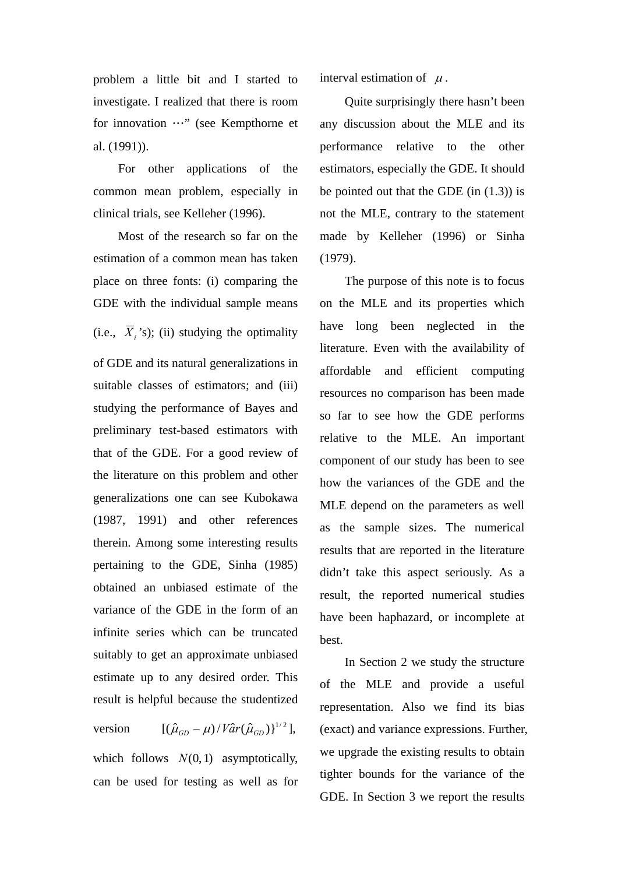problem a little bit and I started to investigate. I realized that there is room for innovation …" (see Kempthorne et al. (1991)).

 For other applications of the common mean problem, especially in clinical trials, see Kelleher (1996).

Most of the research so far on the estimation of a common mean has taken place on three fonts: (i) comparing the GDE with the individual sample means (i.e.,  $\overline{X}_i$ 's); (ii) studying the optimality of GDE and its natural generalizations in suitable classes of estimators; and (iii) studying the performance of Bayes and preliminary test-based estimators with that of the GDE. For a good review of the literature on this problem and other generalizations one can see Kubokawa (1987, 1991) and other references therein. Among some interesting results pertaining to the GDE, Sinha (1985) obtained an unbiased estimate of the variance of the GDE in the form of an infinite series which can be truncated suitably to get an approximate unbiased estimate up to any desired order. This result is helpful because the studentized

version  $[(\hat{\mu}_{GD} - \mu)/\textit{Var}(\hat{\mu}_{GD})]^{1/2}],$ which follows  $N(0, 1)$  asymptotically, can be used for testing as well as for interval estimation of  $\mu$ .

 Quite surprisingly there hasn't been any discussion about the MLE and its performance relative to the other estimators, especially the GDE. It should be pointed out that the GDE (in (1.3)) is not the MLE, contrary to the statement made by Kelleher (1996) or Sinha (1979).

 The purpose of this note is to focus on the MLE and its properties which have long been neglected in the literature. Even with the availability of affordable and efficient computing resources no comparison has been made so far to see how the GDE performs relative to the MLE. An important component of our study has been to see how the variances of the GDE and the MLE depend on the parameters as well as the sample sizes. The numerical results that are reported in the literature didn't take this aspect seriously. As a result, the reported numerical studies have been haphazard, or incomplete at best.

 In Section 2 we study the structure of the MLE and provide a useful representation. Also we find its bias (exact) and variance expressions. Further, we upgrade the existing results to obtain tighter bounds for the variance of the GDE. In Section 3 we report the results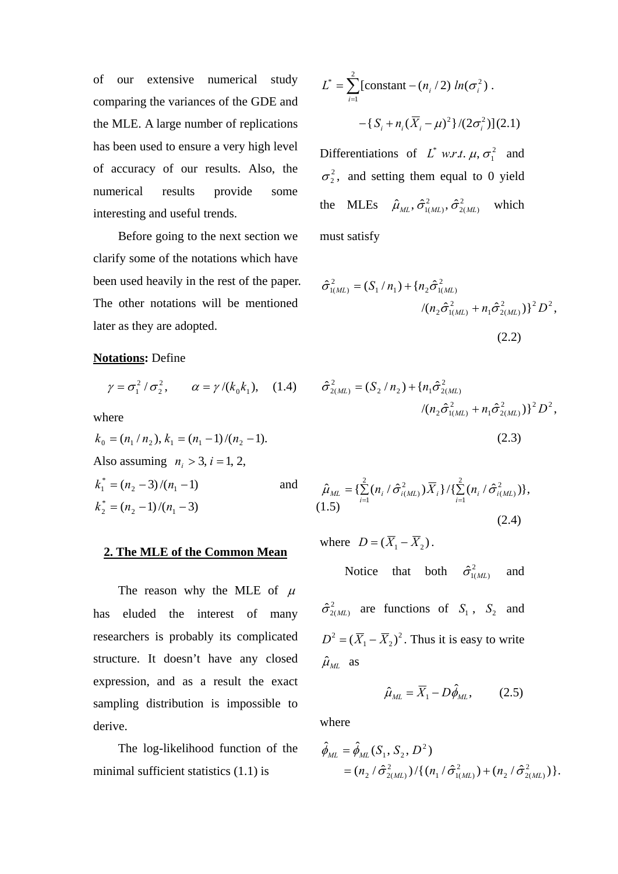of our extensive numerical study comparing the variances of the GDE and the MLE. A large number of replications has been used to ensure a very high level of accuracy of our results. Also, the numerical results provide some interesting and useful trends.

 Before going to the next section we clarify some of the notations which have been used heavily in the rest of the paper. The other notations will be mentioned later as they are adopted.

### **Notations:** Define

$$
\gamma = \sigma_1^2 / \sigma_2^2, \qquad \alpha = \gamma / (k_0 k_1), \quad (1.4)
$$

where

$$
k_0 = (n_1/n_2), k_1 = (n_1 - 1)/(n_2 - 1).
$$
  
Also assuming  $n_i > 3$ ,  $i = 1, 2$ ,  

$$
k_1^* = (n_2 - 3)/(n_1 - 1)
$$
 and  $\hat{\mu}_{ML}$   

$$
k_2^* = (n_2 - 1)/(n_1 - 3)
$$
 (1.5)

### **2. The MLE of the Common Mean**

The reason why the MLE of  $\mu$ has eluded the interest of many researchers is probably its complicated structure. It doesn't have any closed expression, and as a result the exact sampling distribution is impossible to derive.

 The log-likelihood function of the minimal sufficient statistics (1.1) is

$$
L^* = \sum_{i=1}^2 \left[ \text{constant} - (n_i/2) \ln(\sigma_i^2) \right. \\ - \left\{ S_i + n_i (\overline{X}_i - \mu)^2 \right\} / (2\sigma_i^2) \right] (2.1)
$$

Differentiations of  $L^*$  *w.r.t.*  $\mu$ ,  $\sigma_1^2$  and  $\sigma_2^2$ , and setting them equal to 0 yield the MLEs  $\hat{\mu}_{ML}, \hat{\sigma}_{1(ML)}^2, \hat{\sigma}_{2(ML)}^2$  $\hat{\mu}_{ML}$ ,  $\hat{\sigma}_{1(ML)}^2$ ,  $\hat{\sigma}_{2(ML)}^2$  which must satisfy

$$
\hat{\sigma}_{1(ML)}^2 = (S_1 / n_1) + \{n_2 \hat{\sigma}_{1(ML)}^2 + n_1 \hat{\sigma}_{2(ML)}^2\}^2 D^2,
$$
  

$$
/(n_2 \hat{\sigma}_{1(ML)}^2 + n_1 \hat{\sigma}_{2(ML)}^2)^2 D^2,
$$
  
(2.2)

$$
\hat{\sigma}_{2(ML)}^2 = (S_2 / n_2) + \{n_1 \hat{\sigma}_{2(ML)}^2 + n_1 \hat{\sigma}_{2(ML)}^2\}^2 D^2,
$$
  

$$
/(n_2 \hat{\sigma}_{1(ML)}^2 + n_1 \hat{\sigma}_{2(ML)}^2)\}^2 D^2,
$$
  
(2.3)

$$
\hat{\mu}_{ML} = \{ \sum_{i=1}^{2} (n_i / \hat{\sigma}_{i(ML)}^2) \overline{X}_i \} / \{ \sum_{i=1}^{2} (n_i / \hat{\sigma}_{i(ML)}^2) \},
$$
\n(1.5) (2.4)

where  $D = (\overline{X}_1 - \overline{X}_2)$ .

Notice that both  $\hat{\sigma}_{1(ML)}^2$  and  $\hat{\sigma}_{2(ML)}^2$  are functions of  $S_1$ ,  $S_2$  and 2  $D^2 = (\overline{X}_1 - \overline{X}_2)^2$ . Thus it is easy to write  $\hat{\mu}_{ML}$  as

$$
\hat{\mu}_{ML} = \overline{X}_1 - D\hat{\phi}_{ML}, \qquad (2.5)
$$

where

$$
\hat{\phi}_{ML} = \hat{\phi}_{ML}(S_1, S_2, D^2) \n= (n_2 / \hat{\sigma}_{2(ML)}^2) / \{ (n_1 / \hat{\sigma}_{1(ML)}^2) + (n_2 / \hat{\sigma}_{2(ML)}^2) \}.
$$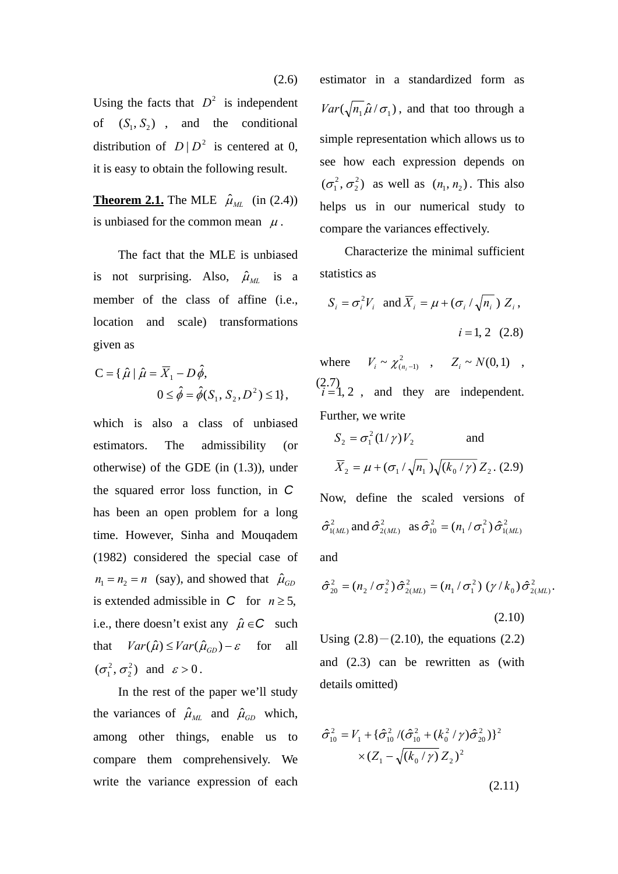Using the facts that  $D^2$  is independent of  $(S_1, S_2)$ , and the conditional distribution of  $D | D^2$  is centered at 0, it is easy to obtain the following result.

**Theorem 2.1.** The MLE  $\hat{\mu}_{ML}$  (in (2.4)) is unbiased for the common mean  $\mu$ .

 The fact that the MLE is unbiased is not surprising. Also,  $\hat{\mu}_{ML}$  is a member of the class of affine (i.e., location and scale) transformations given as

$$
C = \{ \hat{\mu} \mid \hat{\mu} = \overline{X}_1 - D\hat{\phi},
$$
  
 
$$
0 \le \hat{\phi} = \hat{\phi}(S_1, S_2, D^2) \le 1 \},
$$
 (2.7)  
  $i = 1$ 

which is also a class of unbiased estimators. The admissibility (or otherwise) of the GDE (in (1.3)), under the squared error loss function, in *C* has been an open problem for a long time. However, Sinha and Mouqadem (1982) considered the special case of  $n_1 = n_2 = n$  (say), and showed that  $\hat{\mu}_{GD}$ is extended admissible in *C* for  $n \ge 5$ , i.e., there doesn't exist any  $\hat{\mu} \in \mathbb{C}$  such that  $Var(\hat{\mu}) \leq Var(\hat{\mu}_{GD}) - \varepsilon$  for all  $(\sigma_{\scriptscriptstyle 1}^{\scriptscriptstyle 2}, \sigma_{\scriptscriptstyle 2}^{\scriptscriptstyle 2})$  $\sigma_1^2, \sigma_2^2$  and  $\varepsilon > 0$ .

 In the rest of the paper we'll study the variances of  $\hat{\mu}_{ML}$  and  $\hat{\mu}_{GD}$  which, among other things, enable us to compare them comprehensively. We write the variance expression of each estimator in a standardized form as  $Var(\sqrt{n_1}\hat{\mu}/\sigma_1)$ , and that too through a simple representation which allows us to see how each expression depends on  $(\sigma_1^2, \sigma_2^2)$  $(\sigma_1^2, \sigma_2^2)$  as well as  $(n_1, n_2)$ . This also helps us in our numerical study to compare the variances effectively.

 Characterize the minimal sufficient statistics as

$$
S_i = \sigma_i^2 V_i \text{ and } \overline{X}_i = \mu + (\sigma_i / \sqrt{n_i}) Z_i,
$$
  

$$
i = 1, 2 \quad (2.8)
$$

where  $V_i \sim \chi^2_{(n_i-1)}$ ,  $Z_i \sim N(0,1)$ ,  $(2.7)$ <br> $i=1, 2$ , and they are independent. Further, we write

$$
S_2 = \sigma_1^2 (1/\gamma) V_2 \qquad \text{and}
$$

$$
\overline{X}_2 = \mu + (\sigma_1/\sqrt{n_1})\sqrt{(k_0/\gamma)} Z_2. (2.9)
$$

Now, define the scaled versions of  $\hat{\sigma}_{1(ML)}^2$  and  $\hat{\sigma}_{2(ML)}^2$  as  $\hat{\sigma}_{10}^2 = (n_1 / \sigma_1^2) \hat{\sigma}_{1(ML)}^2$ 2  $1'$   $0_1$  $\hat{\sigma}_{10}^2 = (n_1 / \sigma_1^2) \hat{\sigma}_{1(ML)}^2$ 

and

$$
\hat{\sigma}_{20}^2 = (n_2 / \sigma_2^2) \hat{\sigma}_{2(ML)}^2 = (n_1 / \sigma_1^2) (\gamma / k_0) \hat{\sigma}_{2(ML)}^2.
$$
\n(2.10)

Using  $(2.8) - (2.10)$ , the equations  $(2.2)$ and (2.3) can be rewritten as (with details omitted)

$$
\hat{\sigma}_{10}^2 = V_1 + {\hat{\sigma}_{10}^2 / (\hat{\sigma}_{10}^2 + (k_0^2 / \gamma) \hat{\sigma}_{20}^2)}^2
$$
  
×  $(Z_1 - \sqrt{(k_0 / \gamma)} Z_2)^2$  (2.11)

(2.6)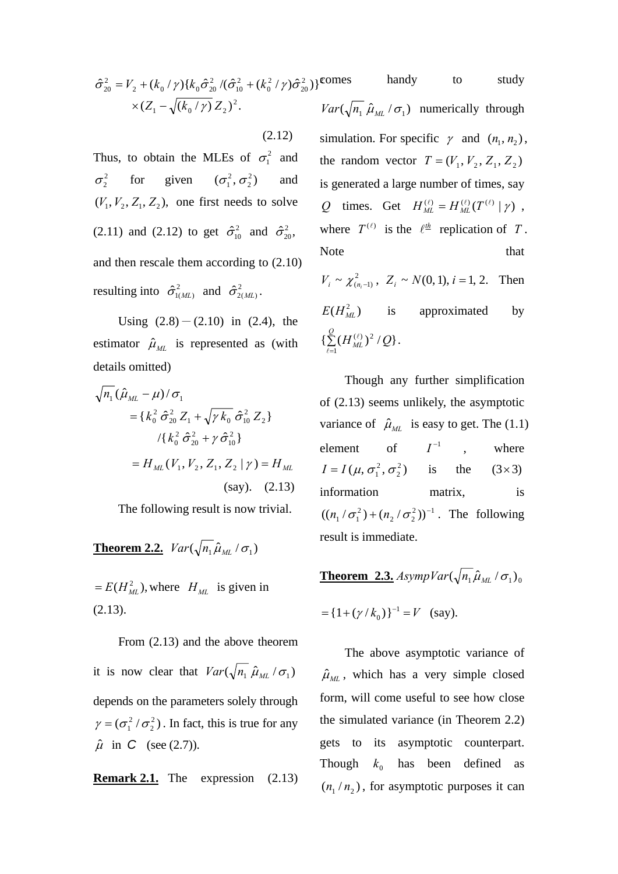$$
\hat{\sigma}_{20}^2 = V_2 + (k_0 / \gamma) \{ k_0 \hat{\sigma}_{20}^2 / (\hat{\sigma}_{10}^2 + (k_0^2 / \gamma) \hat{\sigma}_{20}^2) \}^{\text{COI}} \times (Z_1 - \sqrt{(k_0 / \gamma)} Z_2)^2.
$$

(2.12)

Thus, to obtain the MLEs of  $\sigma_1^2$  and  $\sigma_2^2$  for given  $(\sigma_1^2, \sigma_2^2)$  and  $(V_1, V_2, Z_1, Z_2)$ , one first needs to solve (2.11) and (2.12) to get  $\hat{\sigma}_{10}^2$  and  $\hat{\sigma}_{20}^2$ , and then rescale them according to (2.10) resulting into  $\hat{\sigma}_{1(ML)}^2$  and  $\hat{\sigma}_{2(ML)}^2$ .

Using  $(2.8)-(2.10)$  in  $(2.4)$ , the estimator  $\hat{\mu}_{ML}$  is represented as (with details omitted)

$$
\sqrt{n_1} (\hat{\mu}_{ML} - \mu) / \sigma_1
$$
  
= {  $k_0^2 \hat{\sigma}_{20}^2 Z_1 + \sqrt{\gamma k_0} \hat{\sigma}_{10}^2 Z_2$  }  
 / {  $k_0^2 \hat{\sigma}_{20}^2 + \gamma \hat{\sigma}_{10}^2$  }  
=  $H_{ML}(V_1, V_2, Z_1, Z_2 | \gamma) = H_{ML}$   
(say). (2.13)

The following result is now trivial.

**Theorem 2.2.**  $Var(\sqrt{n_1} \hat{\mu}_{ML} / \sigma_1)$ 

 $= E(H_{ML}^2)$ , where  $H_{ML}$  is given in (2.13).

From (2.13) and the above theorem it is now clear that  $Var(\sqrt{n_1} \hat{\mu}_{ML} / \sigma_1)$ depends on the parameters solely through  $(\sigma^{2}_{1}/\sigma^{2}_{2})$  $\gamma = (\sigma_1^2 / \sigma_2^2)$ . In fact, this is true for any  $\hat{\mu}$  in *C* (see (2.7)).

**Remark 2.1.** The expression 
$$
(2.13)
$$

mes handy to study  $\lim_{n \to \infty} \left( \sqrt{n_1} \hat{\mu}_{ML} / \sigma_1 \right)$  numerically through simulation. For specific  $\gamma$  and  $(n_1, n_2)$ , the random vector  $T = (V_1, V_2, Z_1, Z_2)$ is generated a large number of times, say *Q* times. Get  $H_{ML}^{(\ell)} = H_{ML}^{(\ell)}(T^{(\ell)} | \gamma)$ , where  $T^{(\ell)}$  is the  $\ell^{\frac{th}{2}}$  replication of *T*. Note that that

 $V_i \sim \chi^2_{(n,-1)}$ ,  $Z_i \sim N(0, 1)$ ,  $i = 1, 2$ . Then  $E(H<sub>MI</sub><sup>2</sup>)$  is approximated by  $\sum_{\ell=1}$  $\{\sum\limits_{\ell=1}^{\mathcal{Q}}(H_{\textit{ML}}^{(\ell)})^{2}\,/\mathcal{Q}\}$  $\ell$  $\binom{l}{l}^2/Q$ .

 Though any further simplification of (2.13) seems unlikely, the asymptotic variance of  $\hat{\mu}_{ML}$  is easy to get. The (1.1) element of  $I^{-1}$  , where  $(\mu, \sigma_1^2, \sigma_2^2)$  $I = I(\mu, \sigma_1^2, \sigma_2^2)$  is the  $(3 \times 3)$ information matrix, is  $2 \lambda - 1$  $2^{\prime}$   $\sigma$ <sub>2</sub>  $((n_1 / \sigma_1^2) + (n_2 / \sigma_2^2))^{-1}$ . The following result is immediate.

**Theorem 2.3.**  $AsympVar(\sqrt{n_1}\hat{\mu}_M/\sigma_1)$ 

$$
= {1 + (\gamma / k_0)}^{-1} = V
$$
 (say).

 The above asymptotic variance of  $\hat{\mu}_{ML}$ , which has a very simple closed form, will come useful to see how close the simulated variance (in Theorem 2.2) gets to its asymptotic counterpart. Though  $k_0$  has been defined as  $(n_1/n_2)$ , for asymptotic purposes it can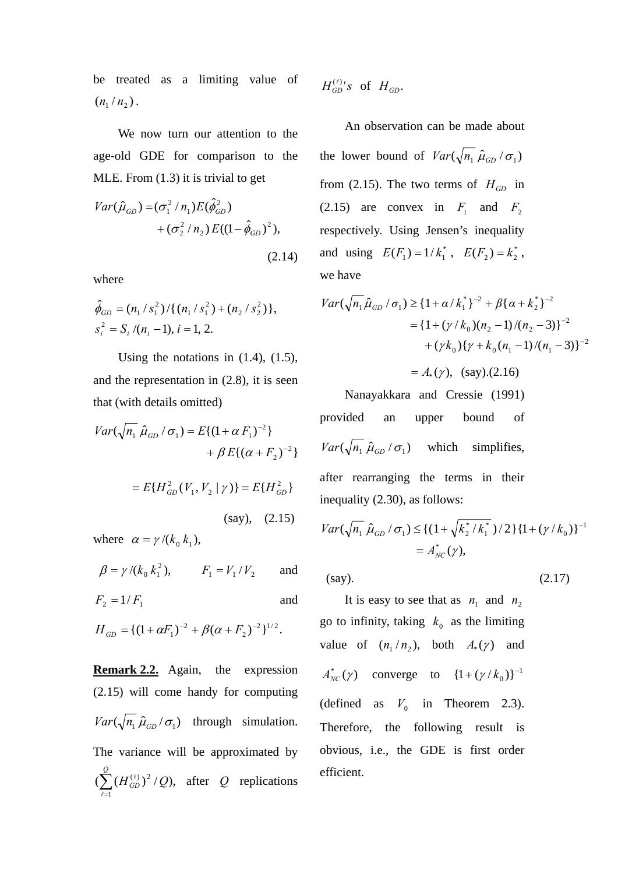be treated as a limiting value of  $(n_1 / n_2)$ .

 We now turn our attention to the age-old GDE for comparison to the MLE. From (1.3) it is trivial to get

$$
Var(\hat{\mu}_{GD}) = (\sigma_1^2 / n_1) E(\hat{\phi}_{GD}^2) + (\sigma_2^2 / n_2) E((1 - \hat{\phi}_{GD})^2),
$$

(2.14)

where

$$
\hat{\phi}_{GD} = (n_1 / s_1^2) / \{ (n_1 / s_1^2) + (n_2 / s_2^2) \},
$$
  
\n
$$
s_i^2 = S_i / (n_i - 1), i = 1, 2.
$$

Using the notations in  $(1.4)$ ,  $(1.5)$ , and the representation in (2.8), it is seen that (with details omitted)

$$
Var(\sqrt{n_1} \hat{\mu}_{GD} / \sigma_1) = E\{(1 + \alpha F_1)^{-2}\}\n+ \beta E\{(\alpha + F_2)^{-2}\}
$$

$$
= E\{H_{GD}^2(V_1, V_2 | \gamma)\} = E\{H_{GD}^2\}
$$
\n(say), (2.15)

where  $\alpha = \gamma / (k_0 \, k_1)$ ,

 $\beta = \gamma / (k_0 k_1^2)$ ,  $F_1 = V_1 / V_2$  and

$$
F_2 = 1/F_1
$$
 and

$$
H_{GD} = \{(1 + \alpha F_1)^{-2} + \beta(\alpha + F_2)^{-2}\}^{1/2}.
$$

**Remark 2.2.** Again, the expression (2.15) will come handy for computing  $Var(\sqrt{n_1} \hat{\mu}_{GD}/\sigma_1)$  through simulation. The variance will be approximated by  $(\sum (H_{GD}^{(\ell)})^2/Q),$ 1  $\sum_{\ell=1}^{\mathcal{Q}}{(H_{GD}^{(\ell)})}^2$  $H_{GD}^{(\ell)})^2$  /  $Q$  $\ell$  $\binom{l}{n}^2$  / Q), after Q replications

$$
H_{GD}^{(\ell)} \text{ s of } H_{GD}.
$$

 An observation can be made about the lower bound of  $Var(\sqrt{n_1} \hat{\mu}_{GD} / \sigma_1)$ from (2.15). The two terms of  $H_{GD}$  in (2.15) are convex in  $F_1$  and  $F_2$ respectively. Using Jensen's inequality and using  $E(F_1) = 1/k_1^*$ ,  $E(F_2) = k_2^*$ , we have

$$
Var(\sqrt{n_1 \hat{\mu}_{GD}} / \sigma_1) \geq {1 + \alpha / k_1^* }^{-2} + \beta { \alpha + k_2^* }^{-2}
$$
  
= {1 + (\gamma / k\_0)(n\_2 - 1)/(n\_2 - 3)}^{-2}  
+ (\gamma k\_0){\gamma + k\_0(n\_1 - 1)/(n\_1 - 3)}^{-2}

 $= A_*(\gamma)$ , (say).(2.16)

 Nanayakkara and Cressie (1991) provided an upper bound of  $Var(\sqrt{n_1} \hat{\mu}_{GD} / \sigma_1)$  which simplifies, after rearranging the terms in their inequality (2.30), as follows:

$$
Var(\sqrt{n_1} \hat{\mu}_{GD} / \sigma_1) \leq \{ (1 + \sqrt{k_2^* / k_1^*}) / 2 \} \{ 1 + (\gamma / k_0) \}^{-1}
$$
  
=  $A_{NC}^*(\gamma)$ ,

 $(say).$  (2.17)

It is easy to see that as  $n_1$  and  $n_2$ go to infinity, taking  $k_0$  as the limiting value of  $(n_1/n_2)$ , both  $A_*(\gamma)$  and  $A_{NC}^*(\gamma)$  converge to  $\{1 + (\gamma/k_0)\}^{-1}$ (defined as  $V_0$  in Theorem 2.3). Therefore, the following result is obvious, i.e., the GDE is first order efficient.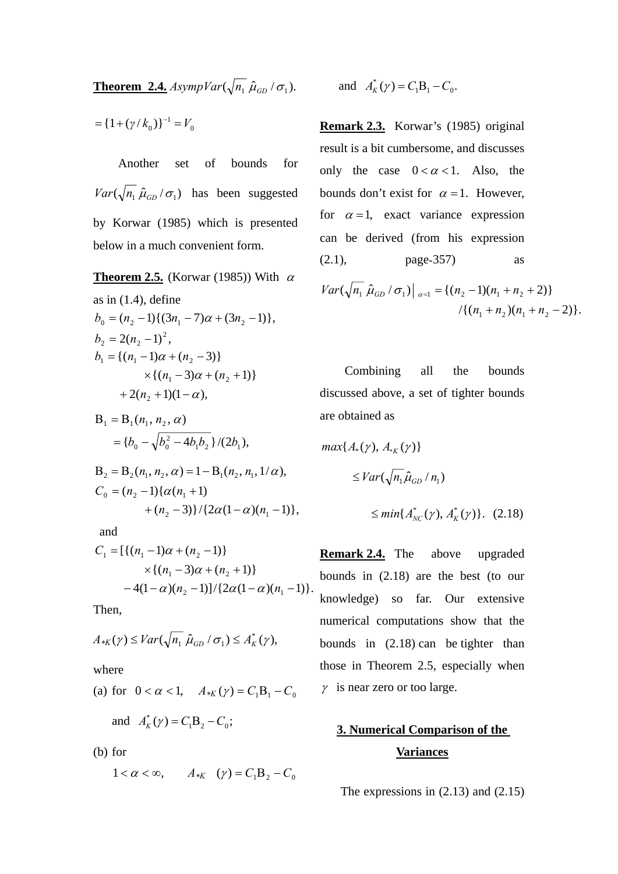**Theorem 2.4.**  $AsympVar(\sqrt{n_1} \hat{\mu}_{GD}/\sigma_1)$ .

 $\boldsymbol{0}$  $=$ {1+( $\gamma$ / $k_0$ )}<sup>-1</sup> = V

 Another set of bounds for  $Var(\sqrt{n_1} \hat{\mu}_{GD} / \sigma_1)$  has been suggested by Korwar (1985) which is presented below in a much convenient form.

**Theorem 2.5.** (Korwar (1985)) With  $\alpha$ as in  $(1.4)$ , define  $2(n_2 - 1)^2$ ,  $b_0 = (n_2 - 1)\{(3n_1 - 7)\alpha + (3n_2 - 1)\},\$  $b_2 = 2(n_2 + 2(n_2 + 1)(1 - \alpha),$  $\times \{(n_1-3)\alpha + (n_2+1)\}\$  $b_1 = \{(n_1 - 1)\alpha + (n_2 - 3)\}\$ 

$$
B_1 = B_1(n_1, n_2, \alpha)
$$
  
= {b<sub>0</sub> -  $\sqrt{b_0^2 - 4b_1b_2}$ }/(2b<sub>1</sub>),

$$
B_2 = B_2(n_1, n_2, \alpha) = 1 - B_1(n_2, n_1, 1/\alpha),
$$
  
\n
$$
C_0 = (n_2 - 1)\{\alpha(n_1 + 1) + (n_2 - 3)\}/\{2\alpha(1 - \alpha)(n_1 - 1)\},\
$$

and

$$
C_1 = \left[ \{ (n_1 - 1)\alpha + (n_2 - 1) \} \times \{ (n_1 - 3)\alpha + (n_2 + 1) \} -4(1 - \alpha)(n_2 - 1) \right] / \left\{ 2\alpha(1 - \alpha)(n_1 - 1) \right\}.
$$

Then,

$$
A_{*K}(\gamma) \leq Var(\sqrt{n_1} \hat{\mu}_{GD} / \sigma_1) \leq A_K^*(\gamma),
$$

where

(a) for 
$$
0 < \alpha < 1
$$
,  $A_{*K}(\gamma) = C_1 B_1 - C_0$ 

and  $A_K^*(\gamma) = C_1 B_2 - C_0;$ 

(b) for

$$
1 < \alpha < \infty, \qquad A_{*K} \quad (\gamma) = C_1 B_2 - C_0
$$

and 
$$
A_K^*(\gamma) = C_1 B_1 - C_0
$$
.

**Remark 2.3.** Korwar's (1985) original result is a bit cumbersome, and discusses only the case  $0 < \alpha < 1$ . Also, the bounds don't exist for  $\alpha = 1$ . However, for  $\alpha = 1$ , exact variance expression can be derived (from his expression (2.1), page-357) as

$$
Var(\sqrt{n_1} \hat{\mu}_{GD} / \sigma_1)|_{\alpha=1} = \{(n_2 - 1)(n_1 + n_2 + 2)\}\
$$

$$
/ \{(n_1 + n_2)(n_1 + n_2 - 2)\}.
$$

 Combining all the bounds discussed above, a set of tighter bounds are obtained as

$$
\max\{A_*(\gamma), A_{*K}(\gamma)\}\
$$
  
\n
$$
\leq Var(\sqrt{n_1}\hat{\mu}_{GD}/n_1)
$$
  
\n
$$
\leq min\{A_{NC}^*(\gamma), A_K^*(\gamma)\}. (2.18)
$$

**Remark 2.4.** The above upgraded bounds in (2.18) are the best (to our knowledge) so far. Our extensive numerical computations show that the bounds in (2.18) can be tighter than those in Theorem 2.5, especially when  $\gamma$  is near zero or too large.

# **3. Numerical Comparison of the Variances**

The expressions in (2.13) and (2.15)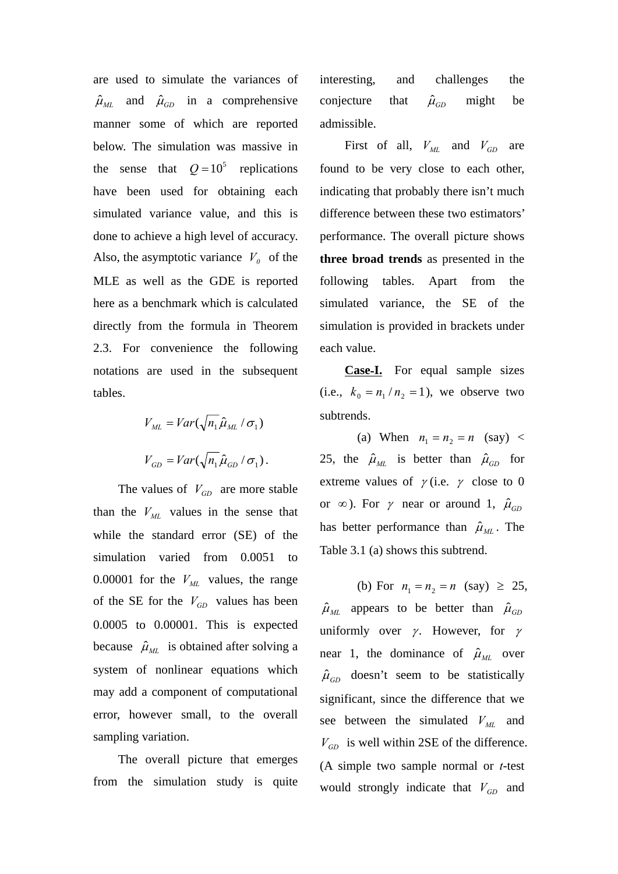are used to simulate the variances of  $\hat{\mu}_{ML}$  and  $\hat{\mu}_{GD}$  in a comprehensive manner some of which are reported below. The simulation was massive in the sense that  $Q = 10^5$  replications have been used for obtaining each simulated variance value, and this is done to achieve a high level of accuracy. Also, the asymptotic variance  $V_0$  of the MLE as well as the GDE is reported here as a benchmark which is calculated directly from the formula in Theorem 2.3. For convenience the following notations are used in the subsequent tables.

$$
V_{ML} = Var(\sqrt{n_1} \hat{\mu}_{ML} / \sigma_1)
$$

$$
V_{GD} = Var(\sqrt{n_1} \hat{\mu}_{GD} / \sigma_1).
$$

The values of  $V_{GD}$  are more stable than the  $V_{ML}$  values in the sense that while the standard error (SE) of the simulation varied from 0.0051 to 0.00001 for the  $V_{ML}$  values, the range of the SE for the  $V_{GD}$  values has been 0.0005 to 0.00001. This is expected because  $\hat{\mu}_{ML}$  is obtained after solving a system of nonlinear equations which may add a component of computational error, however small, to the overall sampling variation.

 The overall picture that emerges from the simulation study is quite interesting, and challenges the conjecture that  $\hat{\mu}_{GD}$  might be admissible.

First of all,  $V_{ML}$  and  $V_{GD}$  are found to be very close to each other, indicating that probably there isn't much difference between these two estimators' performance. The overall picture shows **three broad trends** as presented in the following tables. Apart from the simulated variance, the SE of the simulation is provided in brackets under each value.

**Case**-**I.** For equal sample sizes (i.e.,  $k_0 = n_1 / n_2 = 1$ ), we observe two subtrends.

(a) When  $n_1 = n_2 = n$  (say) < 25, the  $\hat{\mu}_{ML}$  is better than  $\hat{\mu}_{GD}$  for extreme values of  $\gamma$  (i.e.  $\gamma$  close to 0 or  $\infty$ ). For  $\gamma$  near or around 1,  $\hat{\mu}_{GD}$ has better performance than  $\hat{\mu}_{ML}$ . The Table 3.1 (a) shows this subtrend.

(b) For  $n_1 = n_2 = n$  (say)  $\geq 25$ ,  $\hat{\mu}_{ML}$  appears to be better than  $\hat{\mu}_{GD}$ uniformly over  $\gamma$ . However, for  $\gamma$ near 1, the dominance of  $\hat{\mu}_{ML}$  over  $\hat{\mu}_{GD}$  doesn't seem to be statistically significant, since the difference that we see between the simulated  $V_{ML}$  and  $V_{GD}$  is well within 2SE of the difference. (A simple two sample normal or *t*-test would strongly indicate that  $V_{GD}$  and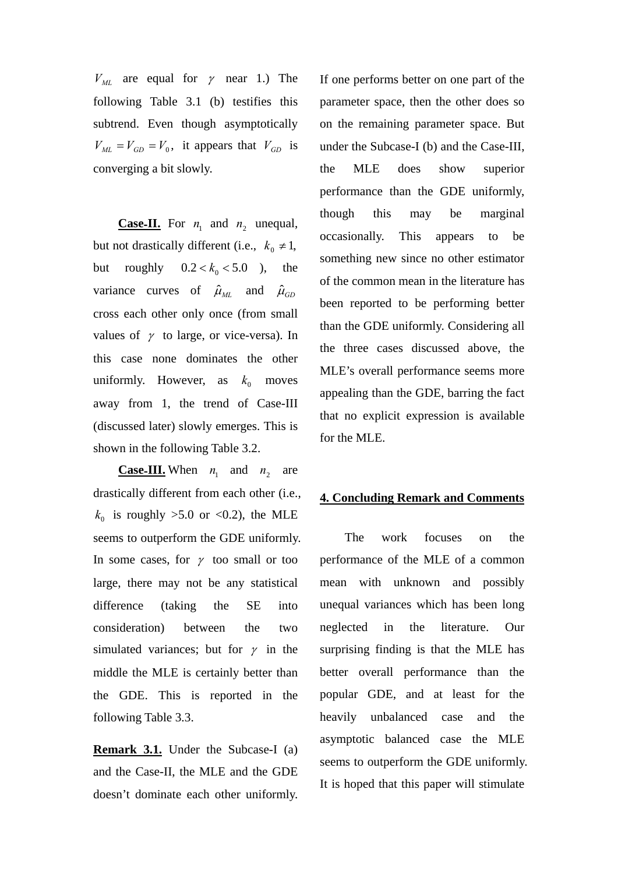$V_{ML}$  are equal for  $\gamma$  near 1.) The following Table 3.1 (b) testifies this subtrend. Even though asymptotically  $V_{ML} = V_{GD} = V_0$ , it appears that  $V_{GD}$  is converging a bit slowly.

**Case-II.** For  $n_1$  and  $n_2$  unequal, but not drastically different (i.e.,  $k_0 \neq 1$ , but roughly  $0.2 < k_0 < 5.0$  ), the variance curves of  $\hat{\mu}_{ML}$  and  $\hat{\mu}_{GD}$ cross each other only once (from small values of  $\gamma$  to large, or vice-versa). In this case none dominates the other uniformly. However, as  $k_0$  moves away from 1, the trend of Case-III (discussed later) slowly emerges. This is shown in the following Table 3.2.

**Case-III.** When  $n_1$  and  $n_2$  are drastically different from each other (i.e.,  $k_0$  is roughly >5.0 or <0.2), the MLE seems to outperform the GDE uniformly. In some cases, for  $\gamma$  too small or too large, there may not be any statistical difference (taking the SE into consideration) between the two simulated variances; but for  $\gamma$  in the middle the MLE is certainly better than the GDE. This is reported in the following Table 3.3.

**Remark 3.1.** Under the Subcase-I (a) and the Case-II, the MLE and the GDE doesn't dominate each other uniformly. If one performs better on one part of the parameter space, then the other does so on the remaining parameter space. But under the Subcase-I (b) and the Case-III, the MLE does show superior performance than the GDE uniformly, though this may be marginal occasionally. This appears to be something new since no other estimator of the common mean in the literature has been reported to be performing better than the GDE uniformly. Considering all the three cases discussed above, the MLE's overall performance seems more appealing than the GDE, barring the fact that no explicit expression is available for the MLE.

### **4. Concluding Remark and Comments**

 The work focuses on the performance of the MLE of a common mean with unknown and possibly unequal variances which has been long neglected in the literature. Our surprising finding is that the MLE has better overall performance than the popular GDE, and at least for the heavily unbalanced case and the asymptotic balanced case the MLE seems to outperform the GDE uniformly. It is hoped that this paper will stimulate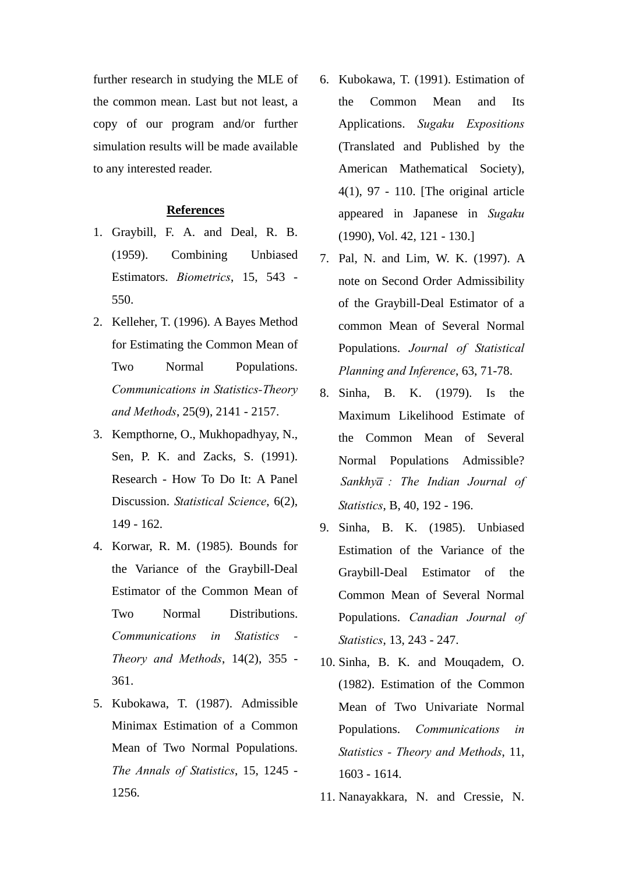further research in studying the MLE of the common mean. Last but not least, a copy of our program and/or further simulation results will be made available to any interested reader.

## **References**

- 1. Graybill, F. A. and Deal, R. B. (1959). Combining Unbiased Estimators. *Biometrics*, 15, 543 - 550.
- 2. Kelleher, T. (1996). A Bayes Method for Estimating the Common Mean of Two Normal Populations. *Communications in Statistics-Theory and Methods*, 25(9), 2141 - 2157.
- 3. Kempthorne, O., Mukhopadhyay, N., Sen, P. K. and Zacks, S. (1991). Research - How To Do It: A Panel Discussion. *Statistical Science*, 6(2), 149 - 162.
- 4. Korwar, R. M. (1985). Bounds for the Variance of the Graybill-Deal Estimator of the Common Mean of Two Normal Distributions. *Communications in Statistics - Theory and Methods*, 14(2), 355 - 361.
- 5. Kubokawa, T. (1987). Admissible Minimax Estimation of a Common Mean of Two Normal Populations. *The Annals of Statistics*, 15, 1245 - 1256.
- 6. Kubokawa, T. (1991). Estimation of the Common Mean and Its Applications. *Sugaku Expositions* (Translated and Published by the American Mathematical Society), 4(1), 97 - 110. [The original article appeared in Japanese in *Sugaku* (1990), Vol. 42, 121 - 130.]
- 7. Pal, N. and Lim, W. K. (1997). A note on Second Order Admissibility of the Graybill-Deal Estimator of a common Mean of Several Normal Populations. *Journal of Statistical Planning and Inference*, 63, 71-78.
- 8. Sinha, B. K. (1979). Is the Maximum Likelihood Estimate of the Common Mean of Several Normal Populations Admissible? Sankhya : The Indian Journal of *Statistics*, B, 40, 192 - 196.
- 9. Sinha, B. K. (1985). Unbiased Estimation of the Variance of the Graybill-Deal Estimator of the Common Mean of Several Normal Populations. *Canadian Journal of Statistics*, 13, 243 - 247.
- 10. Sinha, B. K. and Mouqadem, O. (1982). Estimation of the Common Mean of Two Univariate Normal Populations. *Communications in Statistics - Theory and Methods*, 11, 1603 - 1614.
- 11. Nanayakkara, N. and Cressie, N.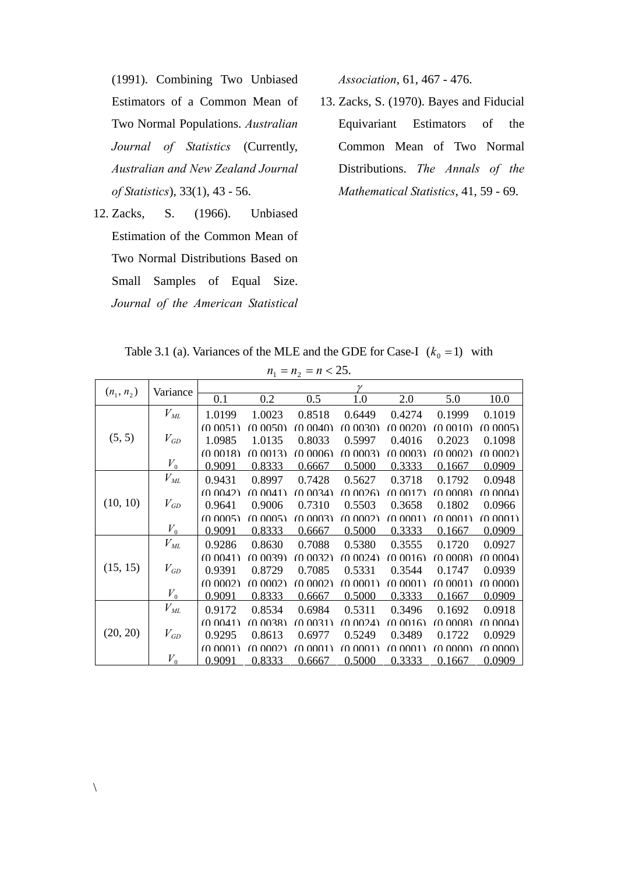(1991). Combining Two Unbiased Estimators of a Common Mean of Two Normal Populations. *Australian Journal of Statistics* (Currently, *Australian and New Zealand Journal of Statistics*), 33(1), 43 - 56.

12. Zacks, S. (1966). Unbiased Estimation of the Common Mean of Two Normal Distributions Based on Small Samples of Equal Size. *Journal of the American Statistical*  *Association*, 61, 467 - 476.

13. Zacks, S. (1970). Bayes and Fiducial Equivariant Estimators of the Common Mean of Two Normal Distributions. *The Annals of the Mathematical Statistics*, 41, 59 - 69.

Table 3.1 (a). Variances of the MLE and the GDE for Case-I  $(k_0 = 1)$  with  $n_1 = n_2 = n < 25$ 

| $\ldots$     |                   |          |              |          |          |          |          |          |  |  |
|--------------|-------------------|----------|--------------|----------|----------|----------|----------|----------|--|--|
| $(n_1, n_2)$ | Variance          |          | $\mathcal V$ |          |          |          |          |          |  |  |
|              |                   | 0.1      | 0.2          | 0.5      | 1.0      | 2.0      | 5.0      | 10.0     |  |  |
|              | $V_{ML}$          | 1.0199   | 1.0023       | 0.8518   | 0.6449   | 0.4274   | 0.1999   | 0.1019   |  |  |
|              |                   | (0.0051) | (0.0050)     | (0.0040) | (0.0030) | (0.0020) | (0.0010) | (0.0005) |  |  |
| (5, 5)       | $V_{GD}$          | 1.0985   | 1.0135       | 0.8033   | 0.5997   | 0.4016   | 0.2023   | 0.1098   |  |  |
|              |                   | (0.0018) | (0.0013)     | (0.0006) | (0.0003) | (0.0003) | (0.0002) | (0.0002) |  |  |
|              | $V_{0}$           | 0.9091   | 0.8333       | 0.6667   | 0.5000   | 0.3333   | 0.1667   | 0.0909   |  |  |
| (10, 10)     | $V_{ML}$          | 0.9431   | 0.8997       | 0.7428   | 0.5627   | 0.3718   | 0.1792   | 0.0948   |  |  |
|              |                   | (0.0042) | (0.0041)     | (0.0034) | (0.0026) | (0.0017) | (0.0008) | (0.0004) |  |  |
|              | $V_{GD}$          | 0.9641   | 0.9006       | 0.7310   | 0.5503   | 0.3658   | 0.1802   | 0.0966   |  |  |
|              |                   | (0.0005) | (0.0005)     | (0.0003) | (0.0002) | (0.0001) | (0.0001) | (0.0001) |  |  |
|              | $V_{0}$           | 0.9091   | 0.8333       | 0.6667   | 0.5000   | 0.3333   | 0.1667   | 0.0909   |  |  |
|              | $V^{}_{M\!L}$     | 0.9286   | 0.8630       | 0.7088   | 0.5380   | 0.3555   | 0.1720   | 0.0927   |  |  |
|              |                   | (0.0041) | (0.0039)     | (0.0032) | (0.0024) | (0.0016) | (0.0008) | (0.0004) |  |  |
| (15, 15)     | $V_{GD}$          | 0.9391   | 0.8729       | 0.7085   | 0.5331   | 0.3544   | 0.1747   | 0.0939   |  |  |
|              |                   | (0.0002) | (0.0002)     | (0.0002) | (0.0001) | (0.0001) | (0.0001) | (0.0000) |  |  |
|              | $V_{0}$           | 0.9091   | 0.8333       | 0.6667   | 0.5000   | 0.3333   | 0.1667   | 0.0909   |  |  |
| (20, 20)     | $V_{\mathit{ML}}$ | 0.9172   | 0.8534       | 0.6984   | 0.5311   | 0.3496   | 0.1692   | 0.0918   |  |  |
|              |                   | (0.0041) | (0.0038)     | (0.0031) | (0.0024) | (0.0016) | (0.0008) | (0.0004) |  |  |
|              | $V_{GD}$          | 0.9295   | 0.8613       | 0.6977   | 0.5249   | 0.3489   | 0.1722   | 0.0929   |  |  |
|              |                   | (0.0001) | (0.0002)     | (0.0001) | (0.0001) | (0.0001) | (0.0000) | (0.0000) |  |  |
|              | $V_0$             | 0.9091   | 0.8333       | 0.6667   | 0.5000   | 0.3333   | 0.1667   | 0.0909   |  |  |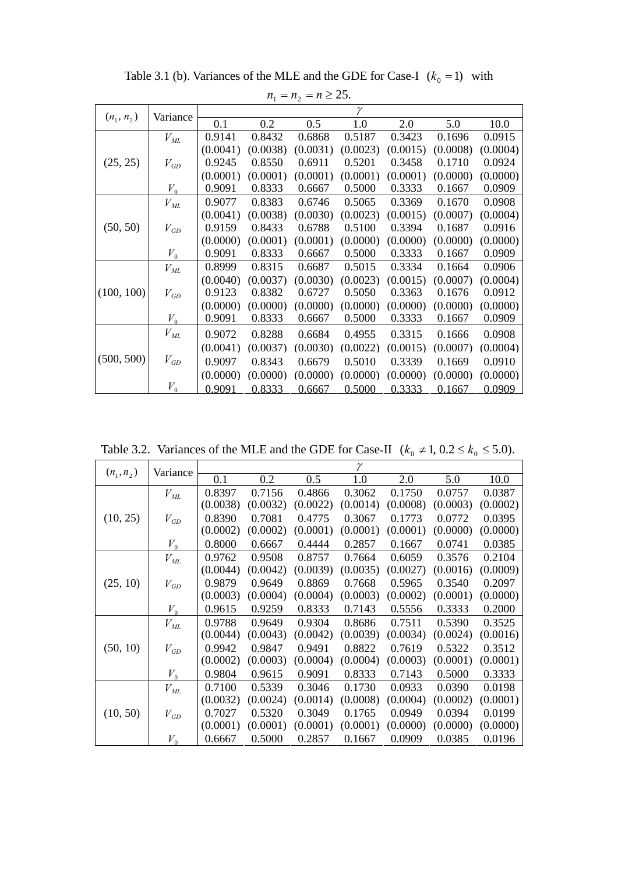| $n_1 = n_2 = n \ge 25.$ |          |          |          |          |          |          |          |          |  |
|-------------------------|----------|----------|----------|----------|----------|----------|----------|----------|--|
| $(n_1, n_2)$            | Variance | γ        |          |          |          |          |          |          |  |
|                         |          | 0.1      | 0.2      | 0.5      | 1.0      | 2.0      | 5.0      | 10.0     |  |
|                         | $V_{ML}$ | 0.9141   | 0.8432   | 0.6868   | 0.5187   | 0.3423   | 0.1696   | 0.0915   |  |
|                         |          | (0.0041) | (0.0038) | (0.0031) | (0.0023) | (0.0015) | (0.0008) | (0.0004) |  |
| (25, 25)                | $V_{GD}$ | 0.9245   | 0.8550   | 0.6911   | 0.5201   | 0.3458   | 0.1710   | 0.0924   |  |
|                         |          | (0.0001) | (0.0001) | (0.0001) | (0.0001) | (0.0001) | (0.0000) | (0.0000) |  |
|                         | $V_{0}$  | 0.9091   | 0.8333   | 0.6667   | 0.5000   | 0.3333   | 0.1667   | 0.0909   |  |
| (50, 50)                | $V_{ML}$ | 0.9077   | 0.8383   | 0.6746   | 0.5065   | 0.3369   | 0.1670   | 0.0908   |  |
|                         |          | (0.0041) | (0.0038) | (0.0030) | (0.0023) | (0.0015) | (0.0007) | (0.0004) |  |
|                         | $V_{GD}$ | 0.9159   | 0.8433   | 0.6788   | 0.5100   | 0.3394   | 0.1687   | 0.0916   |  |
|                         |          | (0.0000) | (0.0001) | (0.0001) | (0.0000) | (0.0000) | (0.0000) | (0.0000) |  |
|                         | $V_{0}$  | 0.9091   | 0.8333   | 0.6667   | 0.5000   | 0.3333   | 0.1667   | 0.0909   |  |
|                         | $V_{ML}$ | 0.8999   | 0.8315   | 0.6687   | 0.5015   | 0.3334   | 0.1664   | 0.0906   |  |
|                         |          | (0.0040) | (0.0037) | (0.0030) | (0.0023) | (0.0015) | (0.0007) | (0.0004) |  |
| (100, 100)              | $V_{GD}$ | 0.9123   | 0.8382   | 0.6727   | 0.5050   | 0.3363   | 0.1676   | 0.0912   |  |
|                         |          | (0.0000) | (0.0000) | (0.0000) | (0.0000) | (0.0000) | (0.0000) | (0.0000) |  |
|                         | $V_{0}$  | 0.9091   | 0.8333   | 0.6667   | 0.5000   | 0.3333   | 0.1667   | 0.0909   |  |
| (500, 500)              | $V_{ML}$ | 0.9072   | 0.8288   | 0.6684   | 0.4955   | 0.3315   | 0.1666   | 0.0908   |  |
|                         |          | (0.0041) | (0.0037) | (0.0030) | (0.0022) | (0.0015) | (0.0007) | (0.0004) |  |
|                         | $V_{GD}$ | 0.9097   | 0.8343   | 0.6679   | 0.5010   | 0.3339   | 0.1669   | 0.0910   |  |
|                         |          | (0.0000) | (0.0000) | (0.0000) | (0.0000) | (0.0000) | (0.0000) | (0.0000) |  |
|                         | $V_{0}$  | 0.9091   | 0.8333   | 0.6667   | 0.5000   | 0.3333   | 0.1667   | 0.0909   |  |

Table 3.1 (b). Variances of the MLE and the GDE for Case-I  $(k_0 = 1)$  with

Table 3.2. Variances of the MLE and the GDE for Case-II  $(k_0 \neq 1, 0.2 \le k_0 \le 5.0)$ .

| $(n_1, n_2)$ | Variance | γ        |          |          |          |          |          |          |
|--------------|----------|----------|----------|----------|----------|----------|----------|----------|
|              |          | 0.1      | 0.2      | 0.5      | 1.0      | 2.0      | 5.0      | 10.0     |
|              | $V_{ML}$ | 0.8397   | 0.7156   | 0.4866   | 0.3062   | 0.1750   | 0.0757   | 0.0387   |
|              |          | (0.0038) | (0.0032) | (0.0022) | (0.0014) | (0.0008) | (0.0003) | (0.0002) |
| (10, 25)     | $V_{GD}$ | 0.8390   | 0.7081   | 0.4775   | 0.3067   | 0.1773   | 0.0772   | 0.0395   |
|              |          | (0.0002) | (0.0002) | (0.0001) | (0.0001) | (0.0001) | (0.0000) | (0.0000) |
|              | $V_{0}$  | 0.8000   | 0.6667   | 0.4444   | 0.2857   | 0.1667   | 0.0741   | 0.0385   |
|              | $V_{ML}$ | 0.9762   | 0.9508   | 0.8757   | 0.7664   | 0.6059   | 0.3576   | 0.2104   |
|              |          | (0.0044) | (0.0042) | (0.0039) | (0.0035) | (0.0027) | (0.0016) | (0.0009) |
| (25, 10)     | $V_{GD}$ | 0.9879   | 0.9649   | 0.8869   | 0.7668   | 0.5965   | 0.3540   | 0.2097   |
|              |          | (0.0003) | (0.0004) | (0.0004) | (0.0003) | (0.0002) | (0.0001) | (0.0000) |
|              | $V_{0}$  | 0.9615   | 0.9259   | 0.8333   | 0.7143   | 0.5556   | 0.3333   | 0.2000   |
|              | $V_{ML}$ | 0.9788   | 0.9649   | 0.9304   | 0.8686   | 0.7511   | 0.5390   | 0.3525   |
|              |          | (0.0044) | (0.0043) | (0.0042) | (0.0039) | (0.0034) | (0.0024) | (0.0016) |
| (50, 10)     | $V_{GD}$ | 0.9942   | 0.9847   | 0.9491   | 0.8822   | 0.7619   | 0.5322   | 0.3512   |
|              |          | (0.0002) | (0.0003) | (0.0004) | (0.0004) | (0.0003) | (0.0001) | (0.0001) |
|              | $V_{0}$  | 0.9804   | 0.9615   | 0.9091   | 0.8333   | 0.7143   | 0.5000   | 0.3333   |
| (10, 50)     | $V_{ML}$ | 0.7100   | 0.5339   | 0.3046   | 0.1730   | 0.0933   | 0.0390   | 0.0198   |
|              |          | (0.0032) | (0.0024) | (0.0014) | (0.0008) | (0.0004) | (0.0002) | (0.0001) |
|              | $V_{GD}$ | 0.7027   | 0.5320   | 0.3049   | 0.1765   | 0.0949   | 0.0394   | 0.0199   |
|              |          | (0.0001) | (0.0001) | (0.0001) | (0.0001) | (0.0000) | (0.0000) | (0.0000) |
|              | $V_0$    | 0.6667   | 0.5000   | 0.2857   | 0.1667   | 0.0909   | 0.0385   | 0.0196   |